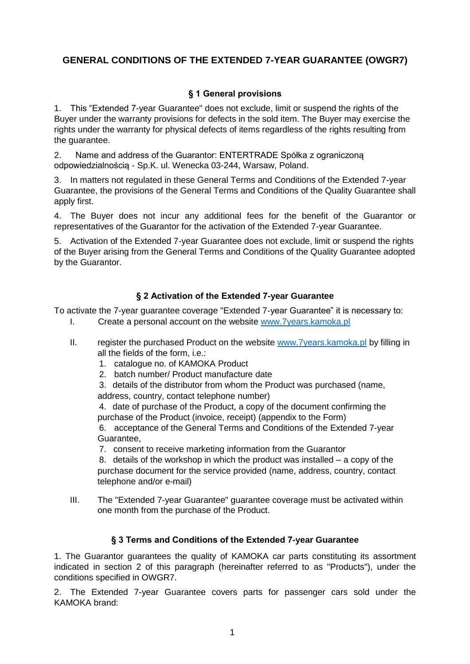# **GENERAL CONDITIONS OF THE EXTENDED 7-YEAR GUARANTEE (OWGR7)**

### **§ 1 General provisions**

1. This "Extended 7-year Guarantee" does not exclude, limit or suspend the rights of the Buyer under the warranty provisions for defects in the sold item. The Buyer may exercise the rights under the warranty for physical defects of items regardless of the rights resulting from the guarantee.

2. Name and address of the Guarantor: ENTERTRADE Spółka z ograniczoną odpowiedzialnością - Sp.K. ul. Wenecka 03-244, Warsaw, Poland.

3. In matters not regulated in these General Terms and Conditions of the Extended 7-year Guarantee, the provisions of the General Terms and Conditions of the Quality Guarantee shall apply first.

4. The Buyer does not incur any additional fees for the benefit of the Guarantor or representatives of the Guarantor for the activation of the Extended 7-year Guarantee.

5. Activation of the Extended 7-year Guarantee does not exclude, limit or suspend the rights of the Buyer arising from the General Terms and Conditions of the Quality Guarantee adopted by the Guarantor.

#### **§ 2 Activation of the Extended 7-year Guarantee**

To activate the 7-year guarantee coverage "Extended 7-year Guarantee" it is necessary to:

- I. Create a personal account on the website [www.7years.kamoka.pl](quot;http:/www.7years.kamoka.pl/")
- II. register the purchased Product on the website [www.7years.kamoka.pl](quot;http:/www.7years.kamoka.pl/") by filling in all the fields of the form, i.e.:
	- 1. catalogue no. of KAMOKA Product
	- 2. batch number/ Product manufacture date

3. details of the distributor from whom the Product was purchased (name, address, country, contact telephone number)

4. date of purchase of the Product, a copy of the document confirming the purchase of the Product (invoice, receipt) (appendix to the Form)

6. acceptance of the General Terms and Conditions of the Extended 7-year Guarantee,

7. consent to receive marketing information from the Guarantor

8. details of the workshop in which the product was installed  $-$  a copy of the purchase document for the service provided (name, address, country, contact telephone and/or e-mail)

III. The "Extended 7-year Guarantee" guarantee coverage must be activated within one month from the purchase of the Product.

#### **§ 3 Terms and Conditions of the Extended 7-year Guarantee**

1. The Guarantor guarantees the quality of KAMOKA car parts constituting its assortment indicated in section 2 of this paragraph (hereinafter referred to as "Products"), under the conditions specified in OWGR7.

2. The Extended 7-year Guarantee covers parts for passenger cars sold under the KAMOKA brand: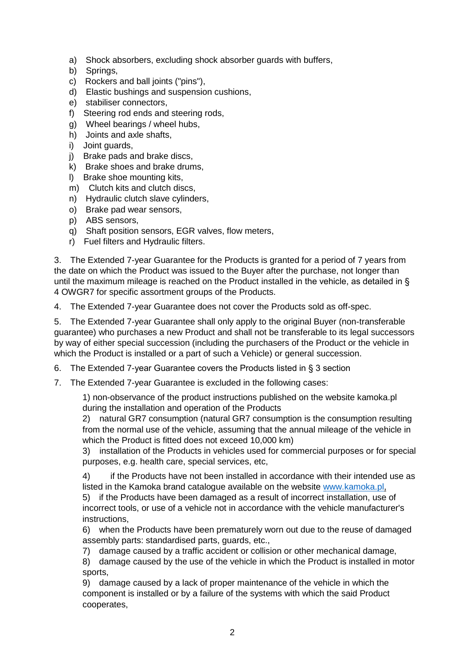- a) Shock absorbers, excluding shock absorber guards with buffers,
- b) Springs,
- c) Rockers and ball joints ("pins"),
- d) Elastic bushings and suspension cushions,
- e) stabiliser connectors,
- f) Steering rod ends and steering rods,
- g) Wheel bearings / wheel hubs,
- h) Joints and axle shafts,
- i) Joint guards,
- j) Brake pads and brake discs,
- k) Brake shoes and brake drums,
- l) Brake shoe mounting kits,
- m) Clutch kits and clutch discs,
- n) Hydraulic clutch slave cylinders,
- o) Brake pad wear sensors,
- p) ABS sensors,
- q) Shaft position sensors, EGR valves, flow meters,
- r) Fuel filters and Hydraulic filters.

3. The Extended 7-year Guarantee for the Products is granted for a period of 7 years from the date on which the Product was issued to the Buyer after the purchase, not longer than until the maximum mileage is reached on the Product installed in the vehicle, as detailed in § 4 OWGR7 for specific assortment groups of the Products.

4. The Extended 7-year Guarantee does not cover the Products sold as off-spec.

5. The Extended 7-year Guarantee shall only apply to the original Buyer (non-transferable guarantee) who purchases a new Product and shall not be transferable to its legal successors by way of either special succession (including the purchasers of the Product or the vehicle in which the Product is installed or a part of such a Vehicle) or general succession.

6. The Extended 7-year Guarantee covers the Products listed in § 3 section

7. The Extended 7-year Guarantee is excluded in the following cases:

1) non-observance of the product instructions published on the website kamoka.pl during the installation and operation of the Products

2) natural GR7 consumption (natural GR7 consumption is the consumption resulting from the normal use of the vehicle, assuming that the annual mileage of the vehicle in which the Product is fitted does not exceed 10,000 km)

3) installation of the Products in vehicles used for commercial purposes or for special purposes, e.g. health care, special services, etc,

4) if the Products have not been installed in accordance with their intended use as listed in the Kamoka brand catalogue available on the website [www.kamoka.pl,](quot;http:/www.kamoka.pl/")

5) if the Products have been damaged as a result of incorrect installation, use of incorrect tools, or use of a vehicle not in accordance with the vehicle manufacturer's instructions,

6) when the Products have been prematurely worn out due to the reuse of damaged assembly parts: standardised parts, guards, etc.,

7) damage caused by a traffic accident or collision or other mechanical damage,

8) damage caused by the use of the vehicle in which the Product is installed in motor sports,

9) damage caused by a lack of proper maintenance of the vehicle in which the component is installed or by a failure of the systems with which the said Product cooperates,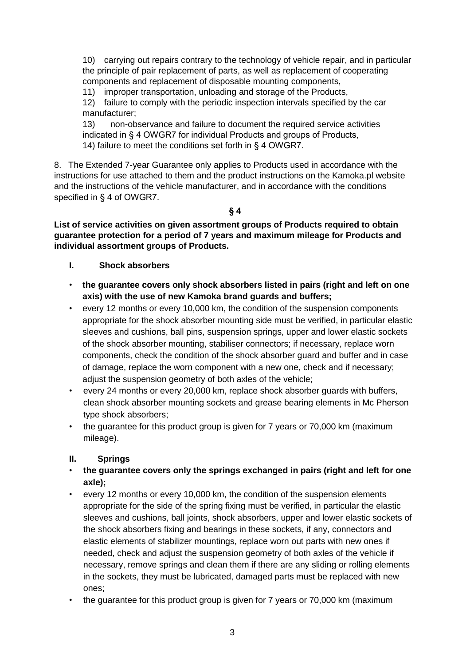10) carrying out repairs contrary to the technology of vehicle repair, and in particular the principle of pair replacement of parts, as well as replacement of cooperating components and replacement of disposable mounting components,

11) improper transportation, unloading and storage of the Products,

12) failure to comply with the periodic inspection intervals specified by the car manufacturer;

13) non-observance and failure to document the required service activities indicated in § 4 OWGR7 for individual Products and groups of Products, 14) failure to meet the conditions set forth in § 4 OWGR7.

8. The Extended 7-year Guarantee only applies to Products used in accordance with the instructions for use attached to them and the product instructions on the Kamoka.pl website and the instructions of the vehicle manufacturer, and in accordance with the conditions specified in § 4 of OWGR7.

**§ 4**

**List of service activities on given assortment groups of Products required to obtain guarantee protection for a period of 7 years and maximum mileage for Products and individual assortment groups of Products.**

#### **I. Shock absorbers**

- **the guarantee covers only shock absorbers listed in pairs (right and left on one axis) with the use of new Kamoka brand guards and buffers;**
- every 12 months or every 10,000 km, the condition of the suspension components appropriate for the shock absorber mounting side must be verified, in particular elastic sleeves and cushions, ball pins, suspension springs, upper and lower elastic sockets of the shock absorber mounting, stabiliser connectors; if necessary, replace worn components, check the condition of the shock absorber guard and buffer and in case of damage, replace the worn component with a new one, check and if necessary; adjust the suspension geometry of both axles of the vehicle;
- every 24 months or every 20,000 km, replace shock absorber guards with buffers, clean shock absorber mounting sockets and grease bearing elements in Mc Pherson type shock absorbers;
- the guarantee for this product group is given for 7 years or 70,000 km (maximum mileage).

#### **II. Springs**

- **the guarantee covers only the springs exchanged in pairs (right and left for one axle);**
- every 12 months or every 10,000 km, the condition of the suspension elements appropriate for the side of the spring fixing must be verified, in particular the elastic sleeves and cushions, ball joints, shock absorbers, upper and lower elastic sockets of the shock absorbers fixing and bearings in these sockets, if any, connectors and elastic elements of stabilizer mountings, replace worn out parts with new ones if needed, check and adjust the suspension geometry of both axles of the vehicle if necessary, remove springs and clean them if there are any sliding or rolling elements in the sockets, they must be lubricated, damaged parts must be replaced with new ones;
- the guarantee for this product group is given for 7 years or 70,000 km (maximum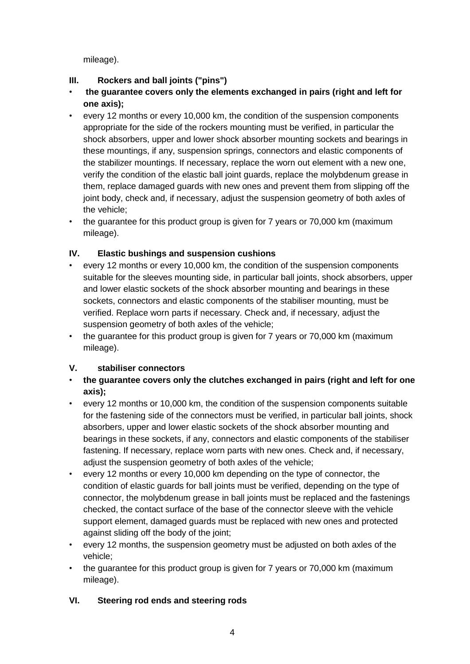mileage).

## **III. Rockers and ball joints ("pins")**

- **the guarantee covers only the elements exchanged in pairs (right and left for one axis);**
- every 12 months or every 10,000 km, the condition of the suspension components appropriate for the side of the rockers mounting must be verified, in particular the shock absorbers, upper and lower shock absorber mounting sockets and bearings in these mountings, if any, suspension springs, connectors and elastic components of the stabilizer mountings. If necessary, replace the worn out element with a new one, verify the condition of the elastic ball joint guards, replace the molybdenum grease in them, replace damaged guards with new ones and prevent them from slipping off the joint body, check and, if necessary, adjust the suspension geometry of both axles of the vehicle;
- the guarantee for this product group is given for 7 years or 70,000 km (maximum mileage).

## **IV. Elastic bushings and suspension cushions**

- every 12 months or every 10,000 km, the condition of the suspension components suitable for the sleeves mounting side, in particular ball joints, shock absorbers, upper and lower elastic sockets of the shock absorber mounting and bearings in these sockets, connectors and elastic components of the stabiliser mounting, must be verified. Replace worn parts if necessary. Check and, if necessary, adjust the suspension geometry of both axles of the vehicle;
- the quarantee for this product group is given for 7 years or 70,000 km (maximum) mileage).

# **V. stabiliser connectors**

- **the guarantee covers only the clutches exchanged in pairs (right and left for one axis);**
- every 12 months or 10,000 km, the condition of the suspension components suitable for the fastening side of the connectors must be verified, in particular ball joints, shock absorbers, upper and lower elastic sockets of the shock absorber mounting and bearings in these sockets, if any, connectors and elastic components of the stabiliser fastening. If necessary, replace worn parts with new ones. Check and, if necessary, adjust the suspension geometry of both axles of the vehicle;
- every 12 months or every 10,000 km depending on the type of connector, the condition of elastic guards for ball joints must be verified, depending on the type of connector, the molybdenum grease in ball joints must be replaced and the fastenings checked, the contact surface of the base of the connector sleeve with the vehicle support element, damaged guards must be replaced with new ones and protected against sliding off the body of the joint;
- every 12 months, the suspension geometry must be adjusted on both axles of the vehicle;
- the guarantee for this product group is given for 7 years or 70,000 km (maximum) mileage).

# **VI. Steering rod ends and steering rods**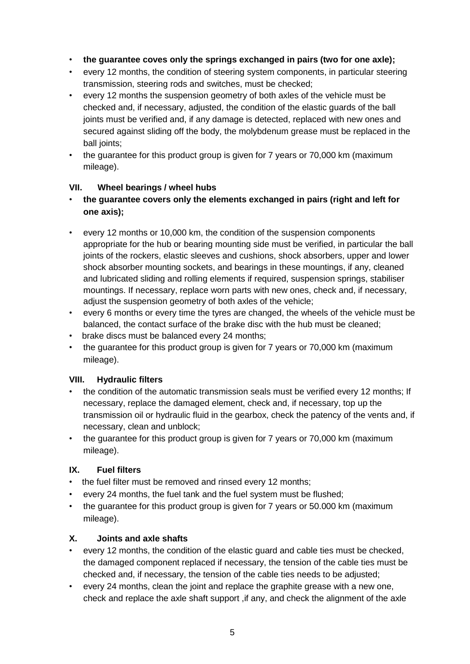- **the guarantee coves only the springs exchanged in pairs (two for one axle);**
- every 12 months, the condition of steering system components, in particular steering transmission, steering rods and switches, must be checked;
- every 12 months the suspension geometry of both axles of the vehicle must be checked and, if necessary, adjusted, the condition of the elastic guards of the ball joints must be verified and, if any damage is detected, replaced with new ones and secured against sliding off the body, the molybdenum grease must be replaced in the ball joints;
- the quarantee for this product group is given for 7 years or 70,000 km (maximum) mileage).

### **VII. Wheel bearings / wheel hubs**

- **the guarantee covers only the elements exchanged in pairs (right and left for one axis);**
- every 12 months or 10,000 km, the condition of the suspension components appropriate for the hub or bearing mounting side must be verified, in particular the ball joints of the rockers, elastic sleeves and cushions, shock absorbers, upper and lower shock absorber mounting sockets, and bearings in these mountings, if any, cleaned and lubricated sliding and rolling elements if required, suspension springs, stabiliser mountings. If necessary, replace worn parts with new ones, check and, if necessary, adjust the suspension geometry of both axles of the vehicle;
- every 6 months or every time the tyres are changed, the wheels of the vehicle must be balanced, the contact surface of the brake disc with the hub must be cleaned;
- brake discs must be balanced every 24 months;
- the guarantee for this product group is given for 7 years or 70,000 km (maximum mileage).

## **VIII. Hydraulic filters**

- the condition of the automatic transmission seals must be verified every 12 months; If necessary, replace the damaged element, check and, if necessary, top up the transmission oil or hydraulic fluid in the gearbox, check the patency of the vents and, if necessary, clean and unblock;
- the guarantee for this product group is given for 7 years or 70,000 km (maximum mileage).

## **IX. Fuel filters**

- the fuel filter must be removed and rinsed every 12 months;
- every 24 months, the fuel tank and the fuel system must be flushed;
- the guarantee for this product group is given for 7 years or 50.000 km (maximum mileage).

## **X. Joints and axle shafts**

- every 12 months, the condition of the elastic guard and cable ties must be checked, the damaged component replaced if necessary, the tension of the cable ties must be checked and, if necessary, the tension of the cable ties needs to be adjusted;
- every 24 months, clean the joint and replace the graphite grease with a new one, check and replace the axle shaft support ,if any, and check the alignment of the axle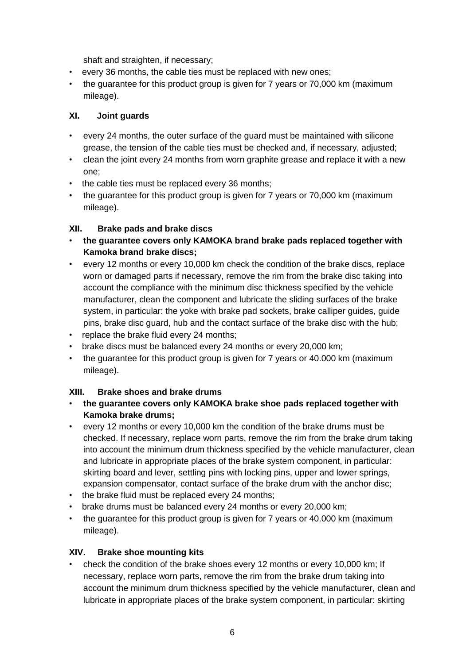shaft and straighten, if necessary;

- every 36 months, the cable ties must be replaced with new ones;
- the guarantee for this product group is given for 7 years or 70,000 km (maximum mileage).

### **XI. Joint guards**

- every 24 months, the outer surface of the guard must be maintained with silicone grease, the tension of the cable ties must be checked and, if necessary, adjusted;
- clean the joint every 24 months from worn graphite grease and replace it with a new one;
- the cable ties must be replaced every 36 months;
- the guarantee for this product group is given for 7 years or 70,000 km (maximum mileage).

### **XII. Brake pads and brake discs**

- **the guarantee covers only KAMOKA brand brake pads replaced together with Kamoka brand brake discs;**
- every 12 months or every 10,000 km check the condition of the brake discs, replace worn or damaged parts if necessary, remove the rim from the brake disc taking into account the compliance with the minimum disc thickness specified by the vehicle manufacturer, clean the component and lubricate the sliding surfaces of the brake system, in particular: the yoke with brake pad sockets, brake calliper guides, guide pins, brake disc guard, hub and the contact surface of the brake disc with the hub;
- replace the brake fluid every 24 months;
- brake discs must be balanced every 24 months or every 20,000 km;
- the guarantee for this product group is given for 7 years or 40.000 km (maximum mileage).

## **XIII. Brake shoes and brake drums**

- **the guarantee covers only KAMOKA brake shoe pads replaced together with Kamoka brake drums;**
- every 12 months or every 10,000 km the condition of the brake drums must be checked. If necessary, replace worn parts, remove the rim from the brake drum taking into account the minimum drum thickness specified by the vehicle manufacturer, clean and lubricate in appropriate places of the brake system component, in particular: skirting board and lever, settling pins with locking pins, upper and lower springs, expansion compensator, contact surface of the brake drum with the anchor disc;
- the brake fluid must be replaced every 24 months;
- brake drums must be balanced every 24 months or every 20,000 km;
- the guarantee for this product group is given for 7 years or 40.000 km (maximum mileage).

#### **XIV. Brake shoe mounting kits**

• check the condition of the brake shoes every 12 months or every 10,000 km; If necessary, replace worn parts, remove the rim from the brake drum taking into account the minimum drum thickness specified by the vehicle manufacturer, clean and lubricate in appropriate places of the brake system component, in particular: skirting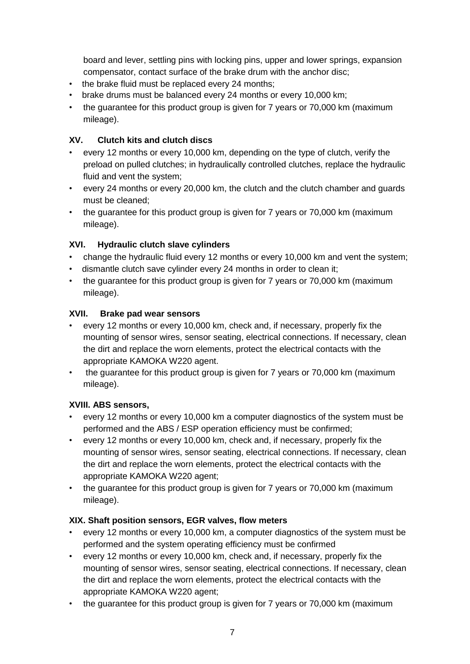board and lever, settling pins with locking pins, upper and lower springs, expansion compensator, contact surface of the brake drum with the anchor disc;

- the brake fluid must be replaced every 24 months;
- brake drums must be balanced every 24 months or every 10,000 km;
- the guarantee for this product group is given for 7 years or 70,000 km (maximum mileage).

## **XV. Clutch kits and clutch discs**

- every 12 months or every 10,000 km, depending on the type of clutch, verify the preload on pulled clutches; in hydraulically controlled clutches, replace the hydraulic fluid and vent the system;
- every 24 months or every 20,000 km, the clutch and the clutch chamber and guards must be cleaned;
- the guarantee for this product group is given for 7 years or 70,000 km (maximum mileage).

## **XVI. Hydraulic clutch slave cylinders**

- change the hydraulic fluid every 12 months or every 10,000 km and vent the system;
- dismantle clutch save cylinder every 24 months in order to clean it;
- the guarantee for this product group is given for 7 years or 70,000 km (maximum mileage).

## **XVII. Brake pad wear sensors**

- every 12 months or every 10,000 km, check and, if necessary, properly fix the mounting of sensor wires, sensor seating, electrical connections. If necessary, clean the dirt and replace the worn elements, protect the electrical contacts with the appropriate KAMOKA W220 agent.
- the guarantee for this product group is given for 7 years or 70,000 km (maximum mileage).

## **XVIII. ABS sensors,**

- every 12 months or every 10,000 km a computer diagnostics of the system must be performed and the ABS / ESP operation efficiency must be confirmed;
- every 12 months or every 10,000 km, check and, if necessary, properly fix the mounting of sensor wires, sensor seating, electrical connections. If necessary, clean the dirt and replace the worn elements, protect the electrical contacts with the appropriate KAMOKA W220 agent;
- the guarantee for this product group is given for 7 years or 70,000 km (maximum mileage).

## **XIX. Shaft position sensors, EGR valves, flow meters**

- every 12 months or every 10,000 km, a computer diagnostics of the system must be performed and the system operating efficiency must be confirmed
- every 12 months or every 10,000 km, check and, if necessary, properly fix the mounting of sensor wires, sensor seating, electrical connections. If necessary, clean the dirt and replace the worn elements, protect the electrical contacts with the appropriate KAMOKA W220 agent;
- the guarantee for this product group is given for 7 years or 70,000 km (maximum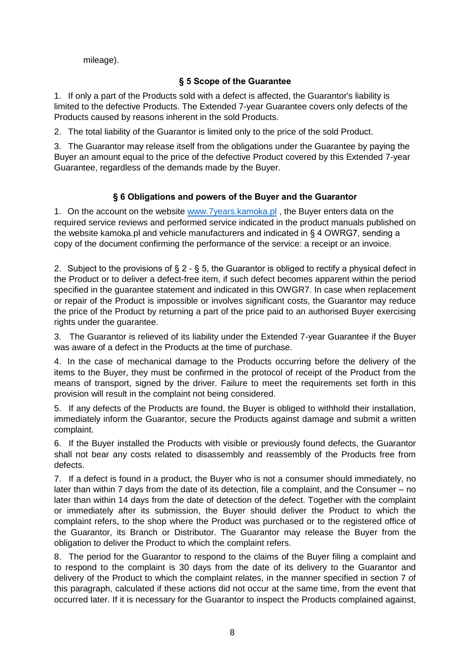mileage).

### **§ 5 Scope of the Guarantee**

1. If only a part of the Products sold with a defect is affected, the Guarantor's liability is limited to the defective Products. The Extended 7-year Guarantee covers only defects of the Products caused by reasons inherent in the sold Products.

2. The total liability of the Guarantor is limited only to the price of the sold Product.

3. The Guarantor may release itself from the obligations under the Guarantee by paying the Buyer an amount equal to the price of the defective Product covered by this Extended 7-year Guarantee, regardless of the demands made by the Buyer.

### **§ 6 Obligations and powers of the Buyer and the Guarantor**

1. On the account on the website [www.7years.kamoka.pl](quot;http:/www.7years.kamoka.pl/") , the Buyer enters data on the required service reviews and performed service indicated in the product manuals published on the website kamoka.pl and vehicle manufacturers and indicated in § 4 OWRG7, sending a copy of the document confirming the performance of the service: a receipt or an invoice.

2. Subject to the provisions of  $\S 2 - \S 5$ , the Guarantor is obliged to rectify a physical defect in the Product or to deliver a defect-free item, if such defect becomes apparent within the period specified in the guarantee statement and indicated in this OWGR7. In case when replacement or repair of the Product is impossible or involves significant costs, the Guarantor may reduce the price of the Product by returning a part of the price paid to an authorised Buyer exercising rights under the guarantee.

3. The Guarantor is relieved of its liability under the Extended 7-year Guarantee if the Buyer was aware of a defect in the Products at the time of purchase.

4. In the case of mechanical damage to the Products occurring before the delivery of the items to the Buyer, they must be confirmed in the protocol of receipt of the Product from the means of transport, signed by the driver. Failure to meet the requirements set forth in this provision will result in the complaint not being considered.

5. If any defects of the Products are found, the Buyer is obliged to withhold their installation, immediately inform the Guarantor, secure the Products against damage and submit a written complaint.

6. If the Buyer installed the Products with visible or previously found defects, the Guarantor shall not bear any costs related to disassembly and reassembly of the Products free from defects.

7. If a defect is found in a product, the Buyer who is not a consumer should immediately, no later than within 7 days from the date of its detection, file a complaint, and the Consumer – no later than within 14 days from the date of detection of the defect. Together with the complaint or immediately after its submission, the Buyer should deliver the Product to which the complaint refers, to the shop where the Product was purchased or to the registered office of the Guarantor, its Branch or Distributor. The Guarantor may release the Buyer from the obligation to deliver the Product to which the complaint refers.

8. The period for the Guarantor to respond to the claims of the Buyer filing a complaint and to respond to the complaint is 30 days from the date of its delivery to the Guarantor and delivery of the Product to which the complaint relates, in the manner specified in section 7 of this paragraph, calculated if these actions did not occur at the same time, from the event that occurred later. If it is necessary for the Guarantor to inspect the Products complained against,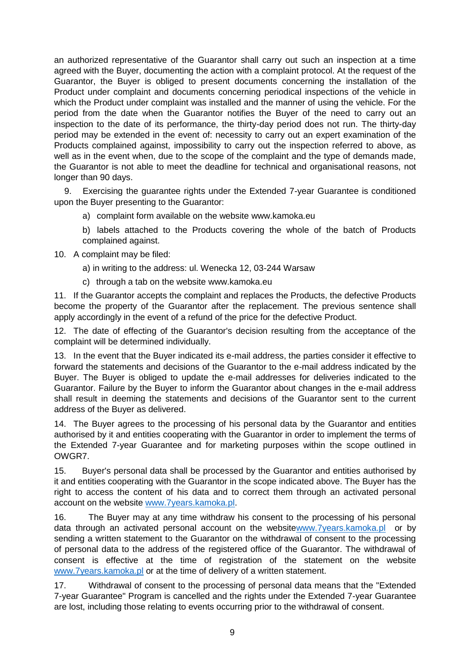an authorized representative of the Guarantor shall carry out such an inspection at a time agreed with the Buyer, documenting the action with a complaint protocol. At the request of the Guarantor, the Buyer is obliged to present documents concerning the installation of the Product under complaint and documents concerning periodical inspections of the vehicle in which the Product under complaint was installed and the manner of using the vehicle. For the period from the date when the Guarantor notifies the Buyer of the need to carry out an inspection to the date of its performance, the thirty-day period does not run. The thirty-day period may be extended in the event of: necessity to carry out an expert examination of the Products complained against, impossibility to carry out the inspection referred to above, as well as in the event when, due to the scope of the complaint and the type of demands made, the Guarantor is not able to meet the deadline for technical and organisational reasons, not longer than 90 days.

9. Exercising the guarantee rights under the Extended 7-year Guarantee is conditioned upon the Buyer presenting to the Guarantor:

a) complaint form available on the website [www.kamoka.eu](quot;http:/www.kamoka.eu")

b) labels attached to the Products covering the whole of the batch of Products complained against.

- 10. A complaint may be filed:
	- a) in writing to the address: ul. Wenecka 12, 03-244 Warsaw
	- c) through a tab on the website [www.kamoka.eu](quot;http:/www.kamoka.eu")

11. If the Guarantor accepts the complaint and replaces the Products, the defective Products become the property of the Guarantor after the replacement. The previous sentence shall apply accordingly in the event of a refund of the price for the defective Product.

12. The date of effecting of the Guarantor's decision resulting from the acceptance of the complaint will be determined individually.

13. In the event that the Buyer indicated its e-mail address, the parties consider it effective to forward the statements and decisions of the Guarantor to the e-mail address indicated by the Buyer. The Buyer is obliged to update the e-mail addresses for deliveries indicated to the Guarantor. Failure by the Buyer to inform the Guarantor about changes in the e-mail address shall result in deeming the statements and decisions of the Guarantor sent to the current address of the Buyer as delivered.

14. The Buyer agrees to the processing of his personal data by the Guarantor and entities authorised by it and entities cooperating with the Guarantor in order to implement the terms of the Extended 7-year Guarantee and for marketing purposes within the scope outlined in OWGR7.

15. Buyer's personal data shall be processed by the Guarantor and entities authorised by it and entities cooperating with the Guarantor in the scope indicated above. The Buyer has the right to access the content of his data and to correct them through an activated personal account on the website [www.7years.kamoka.pl.](quot;http:/www.7years.kamoka.pl/")

16. The Buyer may at any time withdraw his consent to the processing of his personal data through an activated personal account on the websit[ewww.7years.kamoka.pl](quot;http:/www.7years.kamoka.pl/") or by sending a written statement to the Guarantor on the withdrawal of consent to the processing of personal data to the address of the registered office of the Guarantor. The withdrawal of consent is effective at the time of registration of the statement on the websit[e](quot;http:/www.7years.kamoka.pl/") [www.7years.kamoka.pl](quot;http:/www.7years.kamoka.pl/") or at the time of delivery of a written statement.

17. Withdrawal of consent to the processing of personal data means that the "Extended 7-year Guarantee" Program is cancelled and the rights under the Extended 7-year Guarantee are lost, including those relating to events occurring prior to the withdrawal of consent.